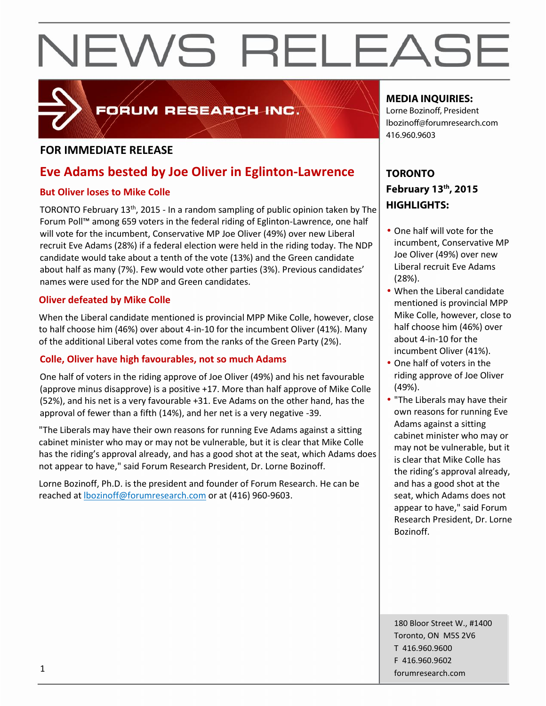

## FORUM RESEARCH INC.

## **FOR IMMEDIATE RELEASE**

## **Eve Adams bested by Joe Oliver in Eglinton-Lawrence**

## **But Oliver loses to Mike Colle**

TORONTO February 13<sup>th</sup>, 2015 - In a random sampling of public opinion taken by The Forum Poll™ among 659 voters in the federal riding of Eglinton-Lawrence, one half will vote for the incumbent, Conservative MP Joe Oliver (49%) over new Liberal recruit Eve Adams (28%) if a federal election were held in the riding today. The NDP candidate would take about a tenth of the vote (13%) and the Green candidate about half as many (7%). Few would vote other parties (3%). Previous candidates' names were used for the NDP and Green candidates.

## **Oliver defeated by Mike Colle**

When the Liberal candidate mentioned is provincial MPP Mike Colle, however, close to half choose him (46%) over about 4-in-10 for the incumbent Oliver (41%). Many of the additional Liberal votes come from the ranks of the Green Party (2%).

## **Colle, Oliver have high favourables, not so much Adams**

One half of voters in the riding approve of Joe Oliver (49%) and his net favourable (approve minus disapprove) is a positive +17. More than half approve of Mike Colle (52%), and his net is a very favourable +31. Eve Adams on the other hand, has the approval of fewer than a fifth (14%), and her net is a very negative -39.<br>"The Liberals may have their own reasons for running Eve Adams against a sitting

cabinet minister who may or may not be vulnerable, but it is clear that Mike Colle has the riding's approval already, and has a good shot at the seat, which Adams does not appear to have," said Forum Research President, Dr. Lorne Bozinoff.

Lorne Bozinoff, Ph.D. is the president and founder of Forum Research. He can be reached at lbozinoff@forumresearch.com or at (416) 960-9603.

## **MEDIA INQUIRIES:**

Lorne Bozinoff, President lbozinoff@forumresearch.com 416.960.9603

## **TORONTO February 13 th, 2015 HIGHLIGHTS:**

- One half will vote for the incumbent, Conservative MP Joe Oliver (49%) over new Liberal recruit Eve Adams (28%).
- When the Liberal candidate mentioned is provincial MPP Mike Colle, however, close to half choose him (46%) over about 4-in-10 for the incumbent Oliver (41%).
- One half of voters in the riding approve of Joe Oliver (49%).
- "The Liberals may have their own reasons for running Eve Adams against a sitting cabinet minister who may or may not be vulnerable, but it is clear that Mike Colle has the riding's approval already, and has a good shot at the seat, which Adams does not appear to have," said Forum Research President, Dr. Lorne Bozinoff.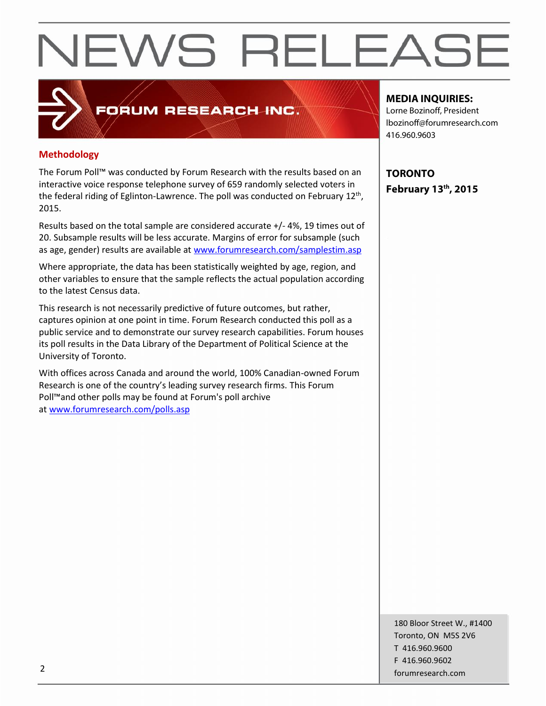## FORUM RESEARCH INC.

## **Methodology**

The Forum Poll™ was conducted by Forum Research with the results based on an interactive voice response telephone survey of 659 randomly selected voters in the federal riding of Eglinton-Lawrence. The poll was conducted on February 12<sup>th</sup>,  $\Box$ 2015.

Results based on the total sample are considered accurate +/- 4%, 19 times out of 20. Subsample results will be less accurate. Margins of error for subsample (such as age, gender) results are available at www.forumresearch.com/samplestim.asp

Where appropriate, the data has been statistically weighted by age, region, and other variables to ensure that the sample reflects the actual population according to the latest Census data.

This research is not necessarily predictive of future outcomes, but rather, captures opinion at one point in time. Forum Research conducted this poll as a public service and to demonstrate our survey research capabilities. Forum houses its poll results in the Data Library of the Department of Political Science at the University of Toronto.

With offices across Canada and around the world, 100% Canadian-owned Forum Research is one of the country's leading survey research firms. This Forum Poll™and other polls may be found at Forum's poll archive at www.forumresearch.com/polls.asp

### **MEDIA INQUIRIES:**

Lorne Bozinoff, President lbozinoff@forumresearch.com 416.960.9603

**TORONTO February 13 th, 2015**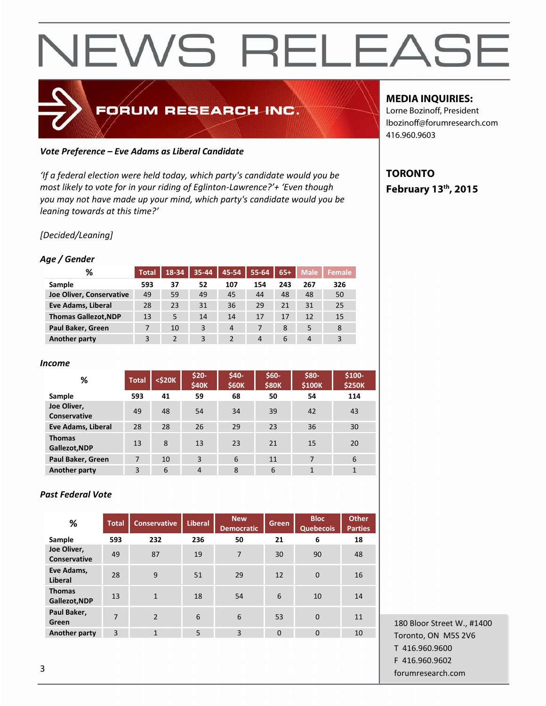## FORUM RESEARCH INC.

### *Vote Preference – Eve Adams as Liberal Candidate*

*'If a federal election were held today, which party's candidate would you be most likely to vote for in your riding of Eglinton-Lawrence?'+ 'Even though you may not have made up your mind, which party's candidate would you be leaning towards at this time?'*

## *[Decided/Leaning]*

### *Age / Gender*

| %                           | <b>Total</b> | 18-34 | 35-44 | 45-54          | 55-64 | $65+$ | <b>Male</b>    | Female |
|-----------------------------|--------------|-------|-------|----------------|-------|-------|----------------|--------|
| Sample                      | 593          | 37    | 52    | 107            | 154   | 243   | 267            | 326    |
| Joe Oliver, Conservative    | 49           | 59    | 49    | 45             | 44    | 48    | 48             | 50     |
| Eve Adams, Liberal          | 28           | 23    | 31    | 36             | 29    | 21    | 31             | 25     |
| <b>Thomas Gallezot, NDP</b> | 13           | 5     | 14    | 14             | 17    | 17    | 12             | 15     |
| Paul Baker, Green           | 7            | 10    | 3     | $\overline{4}$ |       | 8     | 5              | 8      |
| <b>Another party</b>        | 3            |       | 3     | $\overline{2}$ | 4     | 6     | $\overline{4}$ | 3      |

#### *Income*

| %                              | <b>Total</b> | <\$20K | $$20-$<br><b>\$40K</b> | \$40-<br><b>\$60K</b> | $$60-$<br><b>\$80K</b> | \$80-<br>\$100K | $$100-$<br><b>\$250K</b> |
|--------------------------------|--------------|--------|------------------------|-----------------------|------------------------|-----------------|--------------------------|
| Sample                         | 593          | 41     | 59                     | 68                    | 50                     | 54              | 114                      |
| Joe Oliver,<br>Conservative    | 49           | 48     | 54                     | 34                    | 39                     | 42              | 43                       |
| Eve Adams, Liberal             | 28           | 28     | 26                     | 29                    | 23                     | 36              | 30                       |
| <b>Thomas</b><br>Gallezot, NDP | 13           | 8      | 13                     | 23                    | 21                     | 15              | 20                       |
| Paul Baker, Green              | 7            | 10     | 3                      | 6                     | 11                     | 7               | 6                        |
| <b>Another party</b>           | 3            | 6      | $\overline{4}$         | 8                     | 6                      | $\mathbf{1}$    | $\mathbf{1}$             |

### *Past Federal Vote*

| %                                  | <b>Total</b> | <b>Conservative</b> | <b>Liberal</b> | <b>New</b><br><b>Democratic</b> | Green          | <b>Bloc</b><br><b>Quebecois</b> | <b>Other</b><br><b>Parties</b> |
|------------------------------------|--------------|---------------------|----------------|---------------------------------|----------------|---------------------------------|--------------------------------|
| Sample                             | 593          | 232                 | 236            | 50                              | 21             | 6                               | 18                             |
| Joe Oliver,<br><b>Conservative</b> | 49           | 87                  | 19             | $\overline{7}$                  | 30             | 90                              | 48                             |
| Eve Adams,<br>Liberal              | 28           | 9                   | 51             | 29                              | 12             | $\overline{0}$                  | 16                             |
| <b>Thomas</b><br>Gallezot, NDP     | 13           | $\mathbf{1}$        | 18             | 54                              | 6              | 10                              | 14                             |
| Paul Baker,<br>Green               | 7            | $\mathcal{P}$       | 6              | 6                               | 53             | $\overline{0}$                  | 11                             |
| <b>Another party</b>               | 3            | $\mathbf{1}$        | 5              | 3                               | $\overline{0}$ | $\overline{0}$                  | 10                             |

## 180 Bloor Street W., #1400 Toronto, ON M5S 2V6 T 416.960.9600 F 416.960.9602 forumresearch.com 3

## **MEDIA INQUIRIES:**

Lorne Bozinoff, President lbozinoff@forumresearch.com 416.960.9603

## **TORONTO February 13 th, 2015**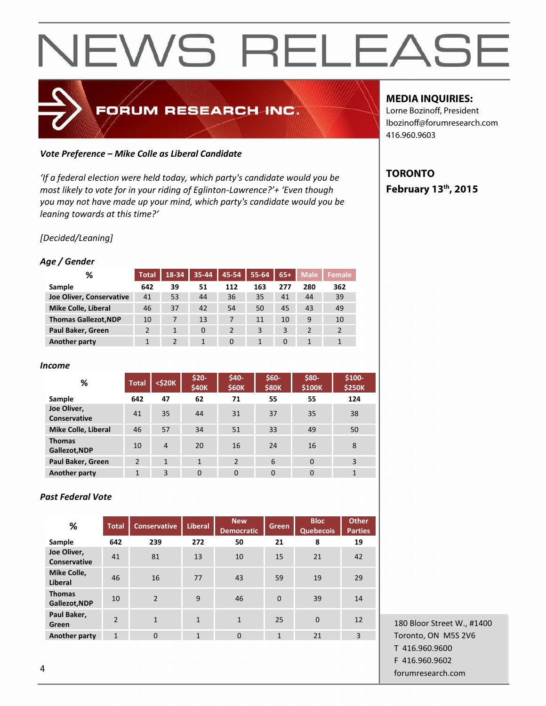## FORUM RESEARCH INC.

### *Vote Preference – Mike Colle as Liberal Candidate*

*'If a federal election were held today, which party's candidate would you be most likely to vote for in your riding of Eglinton-Lawrence?'+ 'Even though you may not have made up your mind, which party's candidate would you be leaning towards at this time?'*

## *[Decided/Leaning]*

## *Age / Gender*

| %                           | <b>Total</b> | 18-34 | $35 - 44$ | 45-54          | 55-64 | $65+$    | <b>Male</b> | Female         |
|-----------------------------|--------------|-------|-----------|----------------|-------|----------|-------------|----------------|
| Sample                      | 642          | 39    | 51        | 112            | 163   | 277      | 280         | 362            |
| Joe Oliver, Conservative    | 41           | 53    | 44        | 36             | 35    | 41       | 44          | 39             |
| Mike Colle, Liberal         | 46           | 37    | 42        | 54             | 50    | 45       | 43          | 49             |
| <b>Thomas Gallezot, NDP</b> | 10           |       | 13        | 7              | 11    | 10       | 9           | 10             |
| Paul Baker, Green           |              |       | 0         | $\overline{2}$ | 3     | 3        |             | $\overline{2}$ |
| Another party               |              |       |           | $\Omega$       |       | $\Omega$ |             | $\mathbf{1}$   |

#### *Income*

| %                              | <b>Total</b> | $<$ \$20 $K$ | $$20-$<br><b>\$40K</b> | \$40-<br><b>\$60K</b> | \$60-<br><b>\$80K</b> | \$80-<br>\$100K | $$100-$<br><b>\$250K</b> |
|--------------------------------|--------------|--------------|------------------------|-----------------------|-----------------------|-----------------|--------------------------|
| Sample                         | 642          | 47           | 62                     | 71                    | 55                    | 55              | 124                      |
| Joe Oliver,<br>Conservative    | 41           | 35           | 44                     | 31                    | 37                    | 35              | 38                       |
| Mike Colle, Liberal            | 46           | 57           | 34                     | 51                    | 33                    | 49              | 50                       |
| <b>Thomas</b><br>Gallezot, NDP | 10           | 4            | 20                     | 16                    | 24                    | 16              | 8                        |
| Paul Baker, Green              | 2            | $\mathbf{1}$ | $\mathbf{1}$           | $\overline{2}$        | 6                     | $\Omega$        | 3                        |
| Another party                  | $\mathbf{1}$ | 3            | $\Omega$               | $\Omega$              | $\overline{0}$        | $\Omega$        | $\mathbf{1}$             |

## *Past Federal Vote*

| %                              | <b>Total</b>             | <b>Conservative</b> | Liberal      | <b>New</b><br><b>Democratic</b> | <b>Green</b>   | <b>Bloc</b><br><b>Quebecois</b> | <b>Other</b><br><b>Parties</b> |
|--------------------------------|--------------------------|---------------------|--------------|---------------------------------|----------------|---------------------------------|--------------------------------|
| Sample                         | 642                      | 239                 | 272          | 50                              | 21             | 8                               | 19                             |
| Joe Oliver,<br>Conservative    | 41                       | 81                  | 13           | 10                              | 15             | 21                              | 42                             |
| Mike Colle,<br>Liberal         | 46                       | 16                  | 77           | 43                              | 59             | 19                              | 29                             |
| <b>Thomas</b><br>Gallezot, NDP | 10                       | $\mathfrak{p}$      | 9            | 46                              | $\overline{0}$ | 39                              | 14                             |
| Paul Baker,<br>Green           | $\overline{\phantom{0}}$ | $\mathbf{1}$        | $\mathbf{1}$ | $\mathbf{1}$                    | 25             | $\mathbf 0$                     | 12                             |
| <b>Another party</b>           | $\mathbf{1}$             | $\overline{0}$      | $\mathbf{1}$ | $\overline{0}$                  | $\mathbf{1}$   | 21                              | $\overline{3}$                 |

180 Bloor Street W., #1400 Toronto, ON M5S 2V6 T 416.960.9600 F 416.960.9602 forumresearch.com 4

## **MEDIA INQUIRIES:**

Lorne Bozinoff, President lbozinoff@forumresearch.com 416.960.9603

## **TORONTO February 13 th, 2015**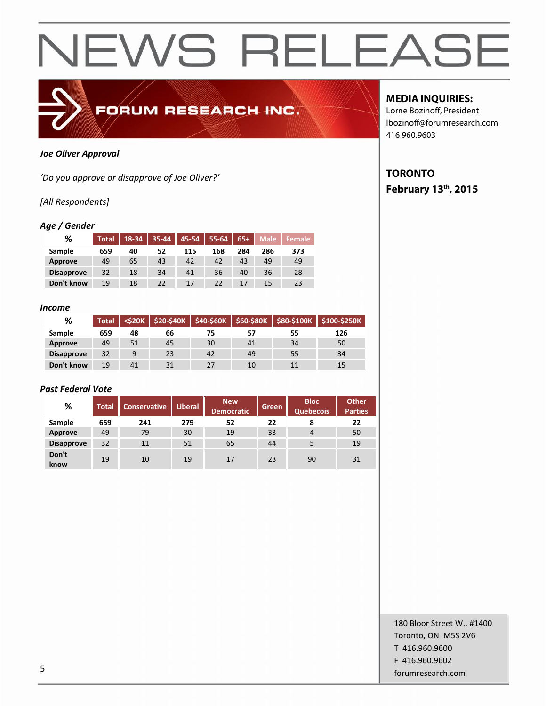

#### *Joe Oliver Approval*

*'Do you approve or disapprove of Joe Oliver?'*

### *[All Respondents]*

#### *Age / Gender*

| %                 | <b>Total</b> | 18-34 | $35 - 44$ |     | 45-54   55-64 | $65+$ | Male | <b>Female</b> |
|-------------------|--------------|-------|-----------|-----|---------------|-------|------|---------------|
| Sample            | 659          | 40    | 52        | 115 | 168           | 284   | 286  | 373           |
| Approve           | 49           | 65    | 43        | 42  | 42            | 43    | 49   | 49            |
| <b>Disapprove</b> | 32           | 18    | 34        | 41  | 36            | 40    | 36   | 28            |
| Don't know        | 19           | 18    | 22        | 17  | 22            | 17    | 15   | 23            |

#### *Income*

| %                 | <b>Total</b> | $<$ \$20 $K$ | \$20-\$40K | \$40-\$60K | \$60-\$80K |    | \$80-\$100K \$100-\$250K |
|-------------------|--------------|--------------|------------|------------|------------|----|--------------------------|
| <b>Sample</b>     | 659          | 48           | 66         |            | 57         | 55 | 126                      |
| Approve           | 49           | 51           | 45         | 30         | 41         | 34 | 50                       |
| <b>Disapprove</b> | 32           | q            | 23         | 42         | 49         | 55 | 34                       |
| Don't know        | 19           | 41           | 31         | 27         | 10         |    | 15                       |

#### *Past Federal Vote*

| %                 | <b>Total</b> | <b>Conservative</b> | <b>Liberal</b> | <b>New</b><br><b>Democratic</b> | <b>Green</b> | <b>Bloc</b><br><b>Quebecois</b> | <b>Other</b><br><b>Parties</b> |
|-------------------|--------------|---------------------|----------------|---------------------------------|--------------|---------------------------------|--------------------------------|
| Sample            | 659          | 241                 | 279            | 52                              | 22           | 8                               | 22                             |
| Approve           | 49           | 79                  | 30             | 19                              | 33           | $\overline{4}$                  | 50                             |
| <b>Disapprove</b> | 32           | 11                  | 51             | 65                              | 44           | 5                               | 19                             |
| Don't<br>know     | 19           | 10                  | 19             | 17                              | 23           | 90                              | 31                             |

## **MEDIA INQUIRIES:**

Lorne Bozinoff, President lbozinoff@forumresearch.com 416.960.9603

## **TORONTO February 13 th, 2015**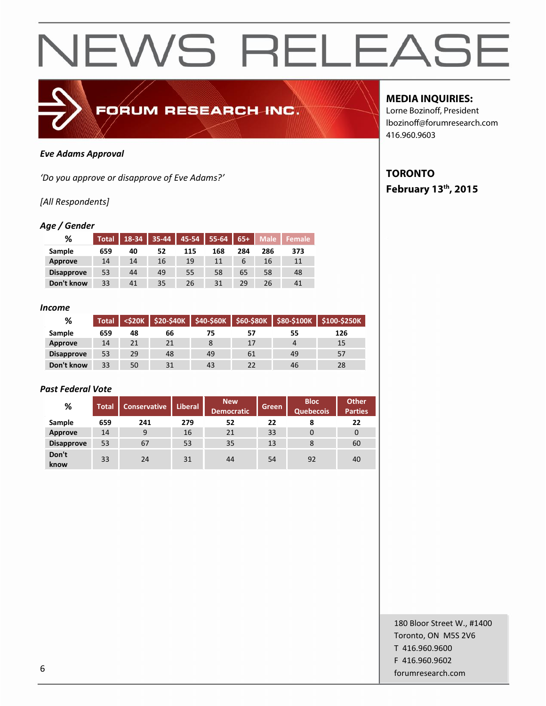

#### *Eve Adams Approval*

*'Do you approve or disapprove of Eve Adams?'*

### *[All Respondents]*

#### *Age / Gender*

| %                 | <b>Total</b> | $18-34$ 35-44 |    |     | 45-54   55-64   65+ |     |     | Male Female |
|-------------------|--------------|---------------|----|-----|---------------------|-----|-----|-------------|
| Sample            | 659          | 40            | 52 | 115 | 168                 | 284 | 286 | 373         |
| Approve           | 14           | 14            | 16 | 19  | 11                  | 6   | 16  | 11          |
| <b>Disapprove</b> | 53           | 44            | 49 | 55  | 58                  | 65  | 58  | 48          |
| Don't know        | 33           | 41            | 35 | 26  | 31                  | 29  | 26  | 41          |

#### *Income*

| %                 | Total |    |    | <\$20K   \$20-\$40K   \$40-\$60K | \$60-\$80K |    | \$80-\$100K \$100-\$250K |
|-------------------|-------|----|----|----------------------------------|------------|----|--------------------------|
| Sample            | 659   | 48 | 66 |                                  | 57         | 55 | 126                      |
| Approve           | 14    | 21 | 21 |                                  | 17         |    | 15                       |
| <b>Disapprove</b> | 53    | 29 | 48 | 49                               | 61         | 49 | 57                       |
| Don't know        | 33    | 50 | 31 | 43                               | 22         | 46 | 28                       |

#### *Past Federal Vote*

| %                 | Total | <b>Conservative</b> | <b>Liberal</b> | <b>New</b><br><b>Democratic</b> | Green | <b>Bloc</b><br><b>Quebecois</b> | <b>Other</b><br><b>Parties</b> |
|-------------------|-------|---------------------|----------------|---------------------------------|-------|---------------------------------|--------------------------------|
| Sample            | 659   | 241                 | 279            | 52                              | 22    | 8                               | 22                             |
| Approve           | 14    | 9                   | 16             | 21                              | 33    | 0                               | 0                              |
| <b>Disapprove</b> | 53    | 67                  | 53             | 35                              | 13    | 8                               | 60                             |
| Don't<br>know     | 33    | 24                  | 31             | 44                              | 54    | 92                              | 40                             |

### **MEDIA INQUIRIES:**

Lorne Bozinoff, President lbozinoff@forumresearch.com 416.960.9603

## **TORONTO February 13 th, 2015**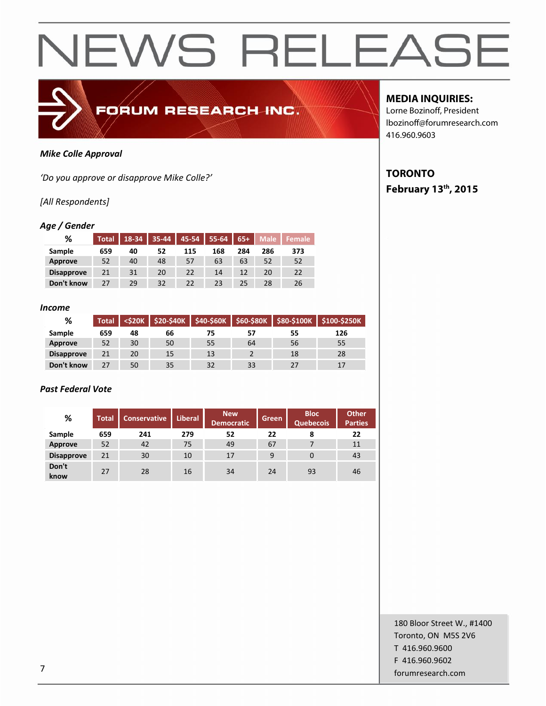

### *Mike Colle Approval*

*'Do you approve or disapprove Mike Colle?'*

### *[All Respondents]*

### *Age / Gender*

| %                 | <b>Total</b> | 18-34 | $35 - 44$ |     | 45-54   55-64 | $65+$ | Male I | l Female |
|-------------------|--------------|-------|-----------|-----|---------------|-------|--------|----------|
| Sample            | 659          | 40    | 52        | 115 | 168           | 284   | 286    | 373      |
| Approve           | 52           | 40    | 48        | 57  | 63            | 63    | 52     | 52       |
| <b>Disapprove</b> | 21           | 31    | 20        | 22  | 14            | 12    | 20     | 22       |
| Don't know        | 27           | 29    | 32        | 22  | 23            | 25    | 28     | 26       |

#### *Income*

| %                 | <b>Total</b> |    |    | <\$20K   \$20-\$40K   \$40-\$60K | \$60-\$80K | \$80-\$100K | \$100-\$250K |
|-------------------|--------------|----|----|----------------------------------|------------|-------------|--------------|
| Sample            | 659          | 48 | 66 | 75                               | 57         | 55          | 126          |
| Approve           | 52           | 30 | 50 | 55                               | 64         | 56          | 55           |
| <b>Disapprove</b> | 21           | 20 | 15 | 13                               |            | 18          | 28           |
| Don't know        | 27           | 50 | 35 | 32                               | 33         | 27          | 17           |

### *Past Federal Vote*

| %                 | <b>Total</b> | Conservative | <b>Liberal</b> | <b>New</b><br><b>Democratic</b> | Green | <b>Bloc</b><br><b>Quebecois</b> | <b>Other</b><br><b>Parties</b> |
|-------------------|--------------|--------------|----------------|---------------------------------|-------|---------------------------------|--------------------------------|
| Sample            | 659          | 241          | 279            | 52                              | 22    | 8                               | 22                             |
| <b>Approve</b>    | 52           | 42           | 75             | 49                              | 67    |                                 | 11                             |
| <b>Disapprove</b> | 21           | 30           | 10             | 17                              | 9     | 0                               | 43                             |
| Don't<br>know     | 27           | 28           | 16             | 34                              | 24    | 93                              | 46                             |

**MEDIA INQUIRIES:**

Lorne Bozinoff, President lbozinoff@forumresearch.com 416.960.9603

## **TORONTO February 13 th, 2015**